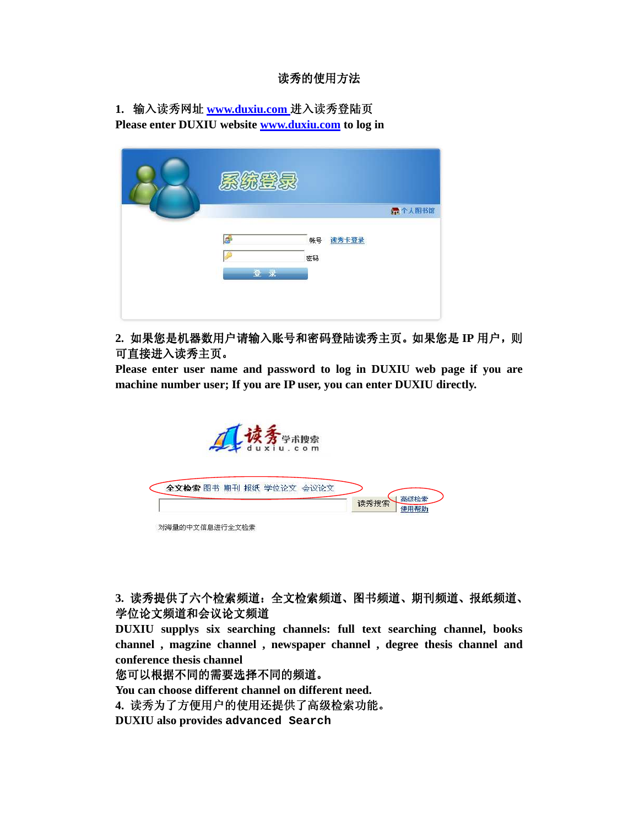## 读秀的使用方法

**1.** 输入读秀网址 **www.duxiu.com** 进入读秀登陆页 **Please enter DUXIU website www.duxiu.com to log in** 

| 系统登录 |    |        |
|------|----|--------|
|      |    | 行个人图书馆 |
| 虛    | 帐号 | 读秀卡登录  |
|      | 密码 |        |
| 登录   |    |        |
|      |    |        |

**2.** 如果您是机器数用户请输入账号和密码登陆读秀主页。如果您是 **IP** 用户,则 可直接进入读秀主页。

**Please enter user name and password to log in DUXIU web page if you are machine number user; If you are IP user, you can enter DUXIU directly.** 



**3.** 读秀提供了六个检索频道:全文检索频道、图书频道、期刊频道、报纸频道、 学位论文频道和会议论文频道

**DUXIU supplys six searching channels: full text searching channel, books channel , magzine channel , newspaper channel , degree thesis channel and conference thesis channel** 

您可以根据不同的需要选择不同的频道。

**You can choose different channel on different need.**

**4.** 读秀为了方便用户的使用还提供了高级检索功能。

**DUXIU also provides advanced Search**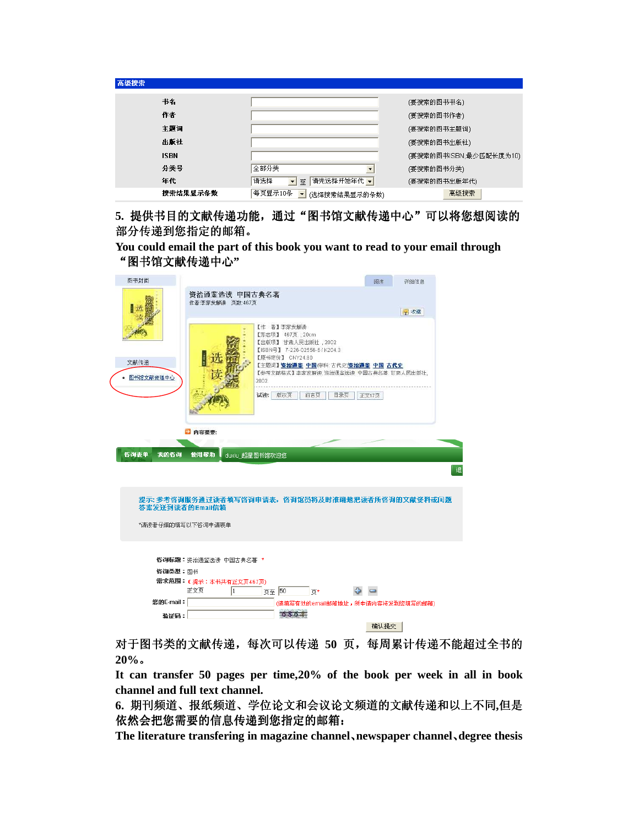| 高级搜索        |                                                      |                         |
|-------------|------------------------------------------------------|-------------------------|
| 书名          |                                                      | (要搜索的图书书名)              |
| 作者          |                                                      | (要搜索的图书作者)              |
| 主題词         |                                                      | (要搜索的图书主题词)             |
| 出版社         |                                                      | (要搜索的图书出版社)             |
| <b>ISBN</b> |                                                      | (要搜索的图书ISBN,最少匹配长度为10). |
| 分类号         | 全部分类                                                 | (要搜索的图书分类)              |
| 年代          | │请先选择开始年代 ▼│<br>请选择<br>$\blacksquare$<br>至           | (要搜索的图书出版年代)            |
| 搜索结果显示条数    | 每页显示10条<br>$\overline{\phantom{a}}$<br>(选择搜索结果显示的条数) | 高级搜索                    |

## 5. 提供书目的文献传递功能,通过"图书馆文献传递中心"可以将您想阅读的 部分传递到您指定的邮箱。

**You could email the part of this book you want to read to your email through** "图书馆文献传递中心 **"** 

| 图书封面                |                                     |                                                                                                                                                                                                             | 阅读                  | 洋细信息 |
|---------------------|-------------------------------------|-------------------------------------------------------------------------------------------------------------------------------------------------------------------------------------------------------------|---------------------|------|
|                     | 资治通鉴选读 中国古典名著<br>作者:李家发解读 页数:467页   |                                                                                                                                                                                                             |                     | v 收藏 |
| 文献传递<br>● 图书馆文献传递中心 | 2002.<br>试读:                        | 【作 者】 李家发解读<br>【形态项】 467页: 20cm<br>【出版项】 甘肃人民出版社, 2002<br>【ISBN号】 7-226-02556-6 / K204.3<br>【原书定价】 CNY24.80<br>【主题词】资治通签 中国(学科:古代史)资治通签 中国 古代史<br>【参考文献格式】李家发解读:资治通鉴选读 中国古典名著,甘肃人民出版社,<br>版权页<br>目录页<br>前言页 |                     |      |
| 咨询表单<br>我的咨询        | 2 内容提要:<br>使用帮助<br>duxiu 超星图书馆欢迎您   |                                                                                                                                                                                                             | 正文17页               |      |
|                     |                                     |                                                                                                                                                                                                             |                     | 退    |
| 答案发送到读者的Email信箱     |                                     | 提示: 参考咨询服务通过读者填写咨询申请表,咨询馆员将及时准确地把读者所咨询的文献资料或问题                                                                                                                                                              |                     |      |
| *诸读者仔细的埴写以下咨询申请表单   |                                     |                                                                                                                                                                                                             |                     |      |
|                     | 咨询标题:资治通鉴选读 中国古典名著 *                |                                                                                                                                                                                                             |                     |      |
| 咨询类型: 图书            |                                     |                                                                                                                                                                                                             |                     |      |
|                     | 需求范围: (提示:本书共有正文页467页)<br>正文页<br>I1 | 页至 50<br>而*                                                                                                                                                                                                 | $\bullet$ $\bullet$ |      |
| 您的E-mail:           |                                     | (诸埴写有效的email邮箱地址,所申请内容将发到您埴写的邮箱)                                                                                                                                                                            |                     |      |
| 矜证码:                |                                     | 方文大士                                                                                                                                                                                                        |                     |      |
|                     |                                     |                                                                                                                                                                                                             | 确认提交                |      |
| LS SIA 27. 3.       | 2.N                                 |                                                                                                                                                                                                             |                     | ده . |

对于图书类的文献传递,每次可以传递 50 页,每周累计传递不能超过全书的 **20%**。

**It can transfer 50 pages per time,20% of the book per week in all in book channel and full text channel.** 

**6.** 期刊频道、报纸频道、学位论文和会议论文频道的文献传递和以上不同**,**但是 依然会把您需要的信息传递到您指定的邮箱:

**The literature transfering in magazine channel**、**newspaper channel**、**degree thesis**